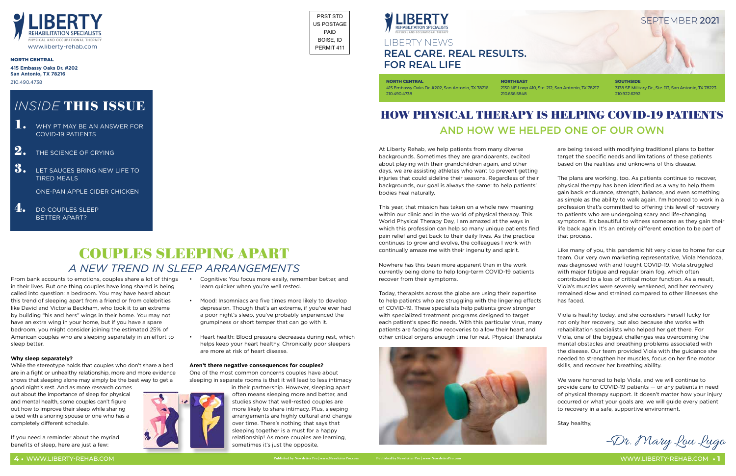At Liberty Rehab, we help patients from many diverse backgrounds. Sometimes they are grandparents, excited about playing with their grandchildren again, and other days, we are assisting athletes who want to prevent getting injuries that could sideline their seasons. Regardless of their backgrounds, our goal is always the same: to help patients' bodies heal naturally.

This year, that mission has taken on a whole new meaning within our clinic and in the world of physical therapy. This World Physical Therapy Day, I am amazed at the ways in which this profession can help so many unique patients find pain relief and get back to their daily lives. As the practice continues to grow and evolve, the colleagues I work with continually amaze me with their ingenuity and spirit.

Nowhere has this been more apparent than in the work currently being done to help long-term COVID-19 patients recover from their symptoms.

Today, therapists across the globe are using their expertise to help patients who are struggling with the lingering effects of COVID-19. These specialists help patients grow stronger with specialized treatment programs designed to target each patient's specific needs. With this particular virus, many patients are facing slow recoveries to allow their heart and other critical organs enough time for rest. Physical therapists





are being tasked with modifying traditional plans to better target the specific needs and limitations of these patients based on the realities and unknowns of this disease.

The plans are working, too. As patients continue to recover, physical therapy has been identified as a way to help them gain back endurance, strength, balance, and even something as simple as the ability to walk again. I'm honored to work in a profession that's committed to offering this level of recovery to patients who are undergoing scary and life-changing symptoms. It's beautiful to witness someone as they gain their life back again. It's an entirely different emotion to be part of that process.

- **1.** WHY PT MAY BE AN ANSWER FOR COVID-19 PATIENTS
- $\boxed{2.}$  THE SCIENCE OF CRYING
- **3.** LET SAUCES BRING NEW LIFE TO TIRED MEALS

4. DO COUPLES SLEEP BETTER APART?

> Like many of you, this pandemic hit very close to home for our team. Our very own marketing representative, Viola Mendoza, was diagnosed with and fought COVID-19. Viola struggled with major fatigue and regular brain fog, which often contributed to a loss of critical motor function. As a result, Viola's muscles were severely weakened, and her recovery remained slow and strained compared to other illnesses she has faced.

Viola is healthy today, and she considers herself lucky for not only her recovery, but also because she works with rehabilitation specialists who helped her get there. For Viola, one of the biggest challenges was overcoming the mental obstacles and breathing problems associated with the disease. Our team provided Viola with the guidance she needed to strengthen her muscles, focus on her fine motor skills, and recover her breathing ability.

We were honored to help Viola, and we will continue to provide care to COVID-19 patients — or any patients in need of physical therapy support. It doesn't matter how your injury occurred or what your goals are; we will guide every patient to recovery in a safe, supportive environment.

Stay healthy,

–Dr. Mary Lou Lugo

## HOW PHYSICAL THERAPY IS HELPING COVID-19 PATIENTS AND HOW WE HELPED ONE OF OUR OWN

## LIBERTY NEWS **REAL CARE. REAL RESULTS. FOR REAL LIFE**

**NORTH CENTRAL** 415 Embassy Oaks Dr. #202, San Antonio, TX 78216

210.490.4738

**NORTHEAST**

2130 NE Loop 410, Ste. 212, San Antonio, TX 78217

210.656.5848

3138 SE Military Dr., Ste. 113, San Antonio, TX 78223 210.922.6292

#### NORTH CENTRAL



**415 Embassy Oaks Dr. #202 San Antonio, TX 78216** 210.490.4738



ONE-PAN APPLE CIDER CHICKEN

From bank accounts to emotions, couples share a lot of things in their lives. But one thing couples have long shared is being called into question: a bedroom. You may have heard about this trend of sleeping apart from a friend or from celebrities like David and Victoria Beckham, who took it to an extreme by building "his and hers" wings in their home. You may not have an extra wing in your home, but if you have a spare bedroom, you might consider joining the estimated 25% of American couples who are sleeping separately in an effort to sleep better.

#### **Why sleep separately?**

While the stereotype holds that couples who don't share a bed are in a fight or unhealthy relationship, more and more evidence shows that sleeping alone may simply be the best way to get a

good night's rest. And as more research comes out about the importance of sleep for physical and mental health, some couples can't figure out how to improve their sleep while sharing a bed with a snoring spouse or one who has a completely different schedule.

If you need a reminder about the myriad benefits of sleep, here are just a few:

• Cognitive: You focus more easily, remember better, and

learn quicker when you're well rested.

• Mood: Insomniacs are five times more likely to develop depression. Though that's an extreme, if you've ever had a poor night's sleep, you've probably experienced the grumpiness or short temper that can go with it.

• Heart health: Blood pressure decreases during rest, which helps keep your heart healthy. Chronically poor sleepers

are more at risk of heart disease.

**Aren't there negative consequences for couples?** One of the most common concerns couples have about sleeping in separate rooms is that it will lead to less intimacy

in their partnership. However, sleeping apart often means sleeping more and better, and studies show that well-rested couples are more likely to share intimacy. Plus, sleeping arrangements are highly cultural and change over time. There's nothing that says that sleeping together is a must for a happy relationship! As more couples are learning, sometimes it's just the opposite.

## *INSIDE* THIS ISSUE

## COUPLES SLEEPING APART *A NEW TREND IN SLEEP ARRANGEMENTS*

PRST STD US POSTAGE PAID BOISE, ID PERMIT 411